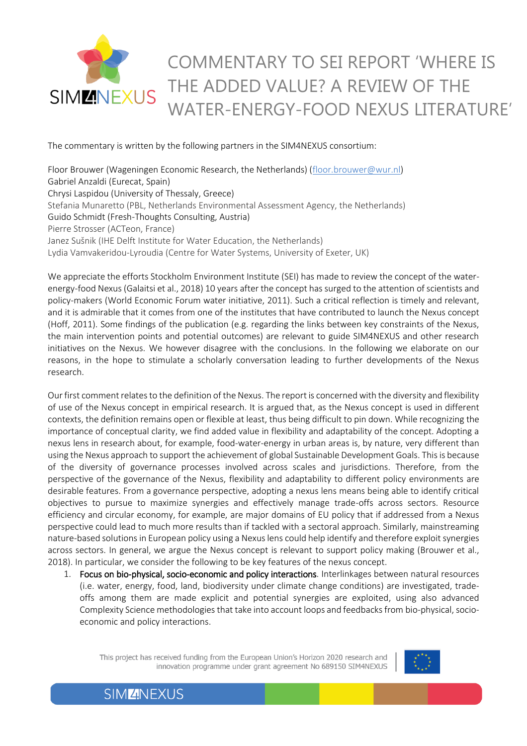## COMMENTARY TO SEI REPORT 'WHERE IS THE ADDED VALUE? A REVIEW OF THE **SIMMNEXUS** WATER-ENERGY-FOOD NEXUS LITERATURE'

The commentary is written by the following partners in the SIM4NEXUS consortium:

Floor Brouwer (Wageningen Economic Research, the Netherlands) [\(floor.brouwer@wur.nl\)](mailto:floor.brouwer@wur.nl) Gabriel Anzaldi (Eurecat, Spain) Chrysi Laspidou (University of Thessaly, Greece) Stefania Munaretto (PBL, Netherlands Environmental Assessment Agency, the Netherlands) Guido Schmidt (Fresh-Thoughts Consulting, Austria) Pierre Strosser (ACTeon, France) Janez Sušnik (IHE Delft Institute for Water Education, the Netherlands) Lydia Vamvakeridou-Lyroudia (Centre for Water Systems, University of Exeter, UK)

We appreciate the efforts Stockholm Environment Institute (SEI) has made to review the concept of the waterenergy-food Nexus (Galaitsi et al., 2018) 10 years after the concept has surged to the attention of scientists and policy-makers (World Economic Forum water initiative, 2011). Such a critical reflection is timely and relevant, and it is admirable that it comes from one of the institutes that have contributed to launch the Nexus concept (Hoff, 2011). Some findings of the publication (e.g. regarding the links between key constraints of the Nexus, the main intervention points and potential outcomes) are relevant to guide SIM4NEXUS and other research initiatives on the Nexus. We however disagree with the conclusions. In the following we elaborate on our reasons, in the hope to stimulate a scholarly conversation leading to further developments of the Nexus research.

Our first comment relates to the definition of the Nexus. The report is concerned with the diversity and flexibility of use of the Nexus concept in empirical research. It is argued that, as the Nexus concept is used in different contexts, the definition remains open or flexible at least, thus being difficult to pin down. While recognizing the importance of conceptual clarity, we find added value in flexibility and adaptability of the concept. Adopting a nexus lens in research about, for example, food-water-energy in urban areas is, by nature, very different than using the Nexus approach to support the achievement of global Sustainable Development Goals. This is because of the diversity of governance processes involved across scales and jurisdictions. Therefore, from the perspective of the governance of the Nexus, flexibility and adaptability to different policy environments are desirable features. From a governance perspective, adopting a nexus lens means being able to identify critical objectives to pursue to maximize synergies and effectively manage trade-offs across sectors. Resource efficiency and circular economy, for example, are major domains of EU policy that if addressed from a Nexus perspective could lead to much more results than if tackled with a sectoral approach. Similarly, mainstreaming nature-based solutions in European policy using a Nexus lens could help identify and therefore exploit synergies across sectors. In general, we argue the Nexus concept is relevant to support policy making (Brouwer et al., 2018). In particular, we consider the following to be key features of the nexus concept.

1. Focus on bio-physical, socio-economic and policy interactions. Interlinkages between natural resources (i.e. water, energy, food, land, biodiversity under climate change conditions) are investigated, tradeoffs among them are made explicit and potential synergies are exploited, using also advanced Complexity Science methodologiesthat take into account loops and feedbacks from bio-physical, socioeconomic and policy interactions.

This project has received funding from the European Union's Horizon 2020 research and innovation programme under grant agreement No 689150 SIM4NEXUS



**SIMZINEXUS**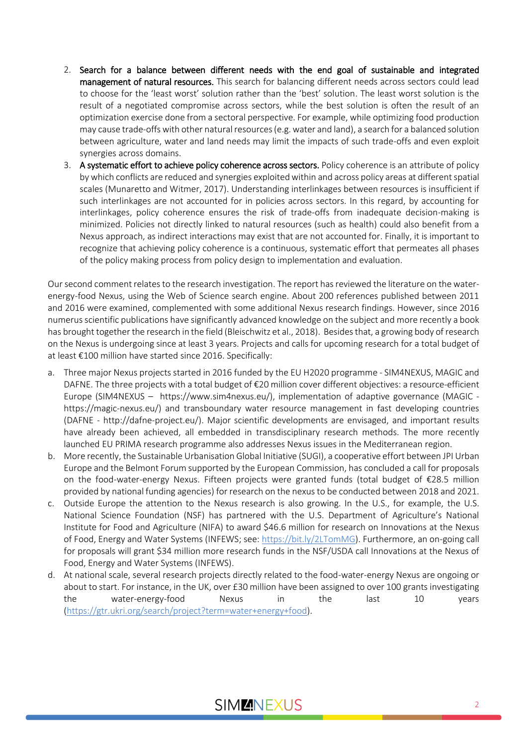- 2. Search for a balance between different needs with the end goal of sustainable and integrated management of natural resources. This search for balancing different needs across sectors could lead to choose for the 'least worst' solution rather than the 'best' solution. The least worst solution is the result of a negotiated compromise across sectors, while the best solution is often the result of an optimization exercise done from a sectoral perspective. For example, while optimizing food production may cause trade-offs with other natural resources (e.g. water and land), a search for a balanced solution between agriculture, water and land needs may limit the impacts of such trade-offs and even exploit synergies across domains.
- 3. A systematic effort to achieve policy coherence across sectors. Policy coherence is an attribute of policy by which conflicts are reduced and synergies exploited within and across policy areas at different spatial scales (Munaretto and Witmer, 2017). Understanding interlinkages between resources is insufficient if such interlinkages are not accounted for in policies across sectors. In this regard, by accounting for interlinkages, policy coherence ensures the risk of trade-offs from inadequate decision-making is minimized. Policies not directly linked to natural resources (such as health) could also benefit from a Nexus approach, as indirect interactions may exist that are not accounted for. Finally, it is important to recognize that achieving policy coherence is a continuous, systematic effort that permeates all phases of the policy making process from policy design to implementation and evaluation.

Our second comment relates to the research investigation. The report has reviewed the literature on the waterenergy-food Nexus, using the Web of Science search engine. About 200 references published between 2011 and 2016 were examined, complemented with some additional Nexus research findings. However, since 2016 numerus scientific publications have significantly advanced knowledge on the subject and more recently a book has brought together the research in the field (Bleischwitz et al., 2018). Besides that, a growing body of research on the Nexus is undergoing since at least 3 years. Projects and calls for upcoming research for a total budget of at least €100 million have started since 2016. Specifically:

- a. Three major Nexus projects started in 2016 funded by the EU H2020 programme SIM4NEXUS, MAGIC and DAFNE. The three projects with a total budget of €20 million cover different objectives: a resource-efficient Europe (SIM4NEXUS – https://www.sim4nexus.eu/), implementation of adaptive governance (MAGIC https://magic-nexus.eu/) and transboundary water resource management in fast developing countries (DAFNE - http://dafne-project.eu/). Major scientific developments are envisaged, and important results have already been achieved, all embedded in transdisciplinary research methods. The more recently launched EU PRIMA research programme also addresses Nexus issues in the Mediterranean region.
- b. More recently, the Sustainable Urbanisation Global Initiative (SUGI), a cooperative effort between JPI Urban Europe and the Belmont Forum supported by the European Commission, has concluded a call for proposals on the food-water-energy Nexus. Fifteen projects were granted funds (total budget of €28.5 million provided by national funding agencies) for research on the nexus to be conducted between 2018 and 2021.
- c. Outside Europe the attention to the Nexus research is also growing. In the U.S., for example, the U.S. National Science Foundation (NSF) has partnered with the U.S. Department of Agriculture's National Institute for Food and Agriculture (NIFA) to award \$46.6 million for research on Innovations at the Nexus of Food, Energy and Water Systems (INFEWS; see[: https://bit.ly/2LTomMG\)](https://bit.ly/2LTomMG). Furthermore, an on-going call for proposals will grant \$34 million more research funds in the NSF/USDA call Innovations at the Nexus of Food, Energy and Water Systems (INFEWS).
- d. At national scale, several research projects directly related to the food-water-energy Nexus are ongoing or about to start. For instance, in the UK, over £30 million have been assigned to over 100 grants investigating the water-energy-food Nexus in the last 10 years [\(https://gtr.ukri.org/search/project?term=water+energy+food\)](https://gtr.ukri.org/search/project?term=water+energy+food).

## **SIMMINEXUS**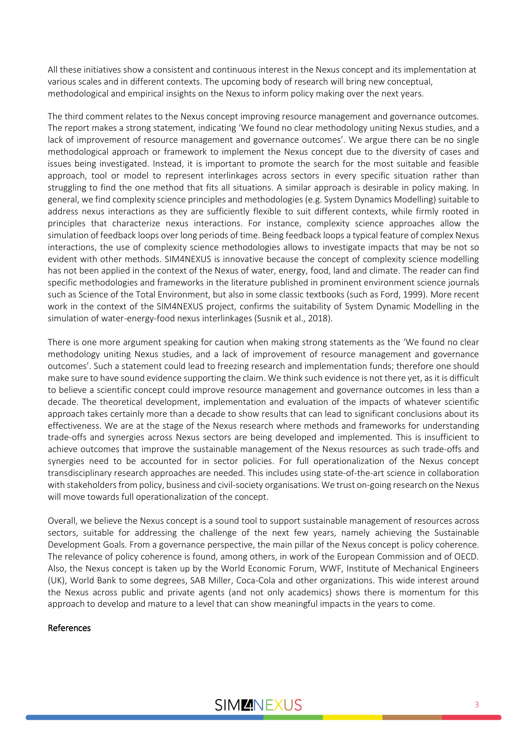All these initiatives show a consistent and continuous interest in the Nexus concept and its implementation at various scales and in different contexts. The upcoming body of research will bring new conceptual, methodological and empirical insights on the Nexus to inform policy making over the next years.

The third comment relates to the Nexus concept improving resource management and governance outcomes. The report makes a strong statement, indicating 'We found no clear methodology uniting Nexus studies, and a lack of improvement of resource management and governance outcomes'. We argue there can be no single methodological approach or framework to implement the Nexus concept due to the diversity of cases and issues being investigated. Instead, it is important to promote the search for the most suitable and feasible approach, tool or model to represent interlinkages across sectors in every specific situation rather than struggling to find the one method that fits all situations. A similar approach is desirable in policy making. In general, we find complexity science principles and methodologies (e.g. System Dynamics Modelling) suitable to address nexus interactions as they are sufficiently flexible to suit different contexts, while firmly rooted in principles that characterize nexus interactions. For instance, complexity science approaches allow the simulation of feedback loops over long periods of time. Being feedback loops a typical feature of complex Nexus interactions, the use of complexity science methodologies allows to investigate impacts that may be not so evident with other methods. SIM4NEXUS is innovative because the concept of complexity science modelling has not been applied in the context of the Nexus of water, energy, food, land and climate. The reader can find specific methodologies and frameworks in the literature published in prominent environment science journals such as Science of the Total Environment, but also in some classic textbooks (such as Ford, 1999). More recent work in the context of the SIM4NEXUS project, confirms the suitability of System Dynamic Modelling in the simulation of water-energy-food nexus interlinkages (Susnik et al., 2018).

There is one more argument speaking for caution when making strong statements as the 'We found no clear methodology uniting Nexus studies, and a lack of improvement of resource management and governance outcomes'. Such a statement could lead to freezing research and implementation funds; therefore one should make sure to have sound evidence supporting the claim. We think such evidence is not there yet, as it is difficult to believe a scientific concept could improve resource management and governance outcomes in less than a decade. The theoretical development, implementation and evaluation of the impacts of whatever scientific approach takes certainly more than a decade to show results that can lead to significant conclusions about its effectiveness. We are at the stage of the Nexus research where methods and frameworks for understanding trade-offs and synergies across Nexus sectors are being developed and implemented. This is insufficient to achieve outcomes that improve the sustainable management of the Nexus resources as such trade-offs and synergies need to be accounted for in sector policies. For full operationalization of the Nexus concept transdisciplinary research approaches are needed. This includes using state-of-the-art science in collaboration with stakeholders from policy, business and civil-society organisations. We trust on-going research on the Nexus will move towards full operationalization of the concept.

Overall, we believe the Nexus concept is a sound tool to support sustainable management of resources across sectors, suitable for addressing the challenge of the next few years, namely achieving the Sustainable Development Goals. From a governance perspective, the main pillar of the Nexus concept is policy coherence. The relevance of policy coherence is found, among others, in work of the European Commission and of OECD. Also, the Nexus concept is taken up by the World Economic Forum, WWF, Institute of Mechanical Engineers (UK), World Bank to some degrees, SAB Miller, Coca-Cola and other organizations. This wide interest around the Nexus across public and private agents (and not only academics) shows there is momentum for this approach to develop and mature to a level that can show meaningful impacts in the years to come.

## References